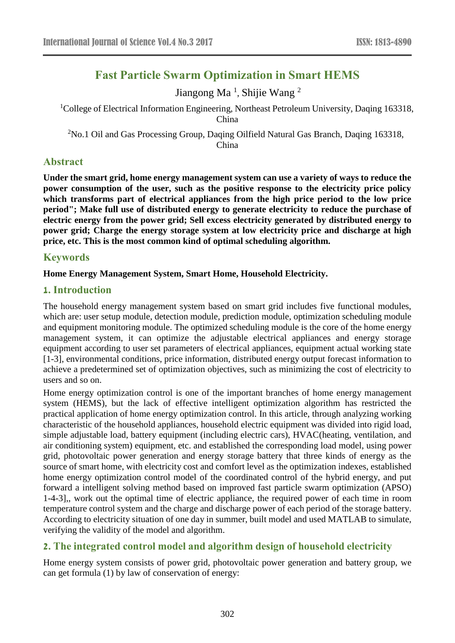# **Fast Particle Swarm Optimization in Smart HEMS**

Jiangong Ma<sup>1</sup>, Shijie Wang<sup>2</sup>

<sup>1</sup>College of Electrical Information Engineering, Northeast Petroleum University, Daqing 163318, China

<sup>2</sup>No.1 Oil and Gas Processing Group, Daqing Oilfield Natural Gas Branch, Daqing 163318, China

# **Abstract**

**Under the smart grid, home energy management system can use a variety of ways to reduce the power consumption of the user, such as the positive response to the electricity price policy which transforms part of electrical appliances from the high price period to the low price period"; Make full use of distributed energy to generate electricity to reduce the purchase of electric energy from the power grid; Sell excess electricity generated by distributed energy to power grid; Charge the energy storage system at low electricity price and discharge at high price, etc. This is the most common kind of optimal scheduling algorithm.**

# **Keywords**

### **Home Energy Management System, Smart Home, Household Electricity.**

# **1. Introduction**

The household energy management system based on smart grid includes five functional modules, which are: user setup module, detection module, prediction module, optimization scheduling module and equipment monitoring module. The optimized scheduling module is the core of the home energy management system, it can optimize the adjustable electrical appliances and energy storage equipment according to user set parameters of electrical appliances, equipment actual working state [1-3], environmental conditions, price information, distributed energy output forecast information to achieve a predetermined set of optimization objectives, such as minimizing the cost of electricity to users and so on.

Home energy optimization control is one of the important branches of home energy management system (HEMS), but the lack of effective intelligent optimization algorithm has restricted the practical application of home energy optimization control. In this article, through analyzing working characteristic of the household appliances, household electric equipment was divided into rigid load, simple adjustable load, battery equipment (including electric cars), HVAC(heating, ventilation, and air conditioning system) equipment, etc. and established the corresponding load model, using power grid, photovoltaic power generation and energy storage battery that three kinds of energy as the source of smart home, with electricity cost and comfort level as the optimization indexes, established home energy optimization control model of the coordinated control of the hybrid energy, and put forward a intelligent solving method based on improved fast particle swarm optimization (APSO) 1-4-3],, work out the optimal time of electric appliance, the required power of each time in room temperature control system and the charge and discharge power of each period of the storage battery. According to electricity situation of one day in summer, built model and used MATLAB to simulate, verifying the validity of the model and algorithm.

# **2. The integrated control model and algorithm design of household electricity**

Home energy system consists of power grid, photovoltaic power generation and battery group, we can get formula (1) by law of conservation of energy: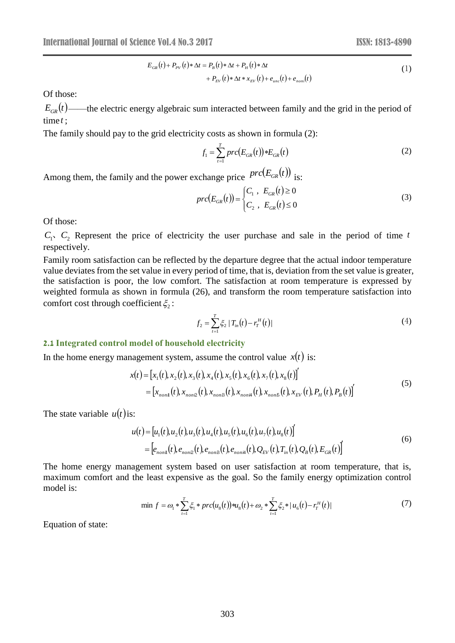$$
E_{GR}(t) + P_{PV}(t) * \Delta t = P_B(t) * \Delta t + P_H(t) * \Delta t
$$
  
+ 
$$
P_{EV}(t) * \Delta t * x_{EV}(t) + e_{unc}(t) + e_{noni}(t)
$$
 (1)

Of those:

 $E_{GR}(t)$ ——the electric energy algebraic sum interacted between family and the grid in the period of time *t* ;

The family should pay to the grid electricity costs as shown in formula (2):

$$
f_1 = \sum_{t=1}^{T} prc(E_{GR}(t)) * E_{GR}(t)
$$
 (2)

Among them, the family and the power exchange price  $\text{prc}(E_{GR}(t))$  is:

$$
prc(E_{GR}(t)) = \begin{cases} C_1, & E_{GR}(t) \ge 0 \\ C_2, & E_{GR}(t) \le 0 \end{cases} \tag{3}
$$

Of those:

 $C_1$ ,  $C_2$  Represent the price of electricity the user purchase and sale in the period of time t respectively.

Family room satisfaction can be reflected by the departure degree that the actual indoor temperature value deviates from the set value in every period of time, that is, deviation from the set value is greater, the satisfaction is poor, the low comfort. The satisfaction at room temperature is expressed by weighted formula as shown in formula (26), and transform the room temperature satisfaction into comfort cost through coefficient  $\zeta_2$ :

$$
f_2 = \sum_{t=1}^{T} \xi_2 \left| T_{in}(t) - r_T^H(t) \right| \tag{4}
$$

#### **2.1 Integrated control model of household electricity**

In the home energy management system, assume the control value  $x(t)$  is:

$$
x(t) = [x_1(t), x_2(t), x_3(t), x_4(t), x_5(t), x_6(t), x_7(t), x_8(t)]'
$$
  
= 
$$
[x_{non1}(t), x_{non2}(t), x_{non3}(t), x_{non4}(t), x_{non5}(t), x_{EV}(t), P_H(t), P_B(t)]'
$$
 (5)

The state variable  $u(t)$  is:

$$
u(t) = [u_1(t), u_2(t), u_3(t), u_4(t), u_5(t), u_6(t), u_7(t), u_8(t)]
$$
  
=  $[e_{noni}(t), e_{noni2}(t), e_{noni3}(t), e_{noni4}(t), Q_{EV}(t), T_{in}(t), Q_B(t), E_{GR}(t)]$  (6)

The home energy management system based on user satisfaction at room temperature, that is, maximum comfort and the least expensive as the goal. So the family energy optimization control model is:

$$
\min f = \omega_1 * \sum_{t=1}^{T} \xi_1 * \text{prc}(u_s(t)) * u_s(t) + \omega_2 * \sum_{t=1}^{T} \xi_2 * |u_s(t) - r_t^H(t)| \tag{7}
$$

Equation of state: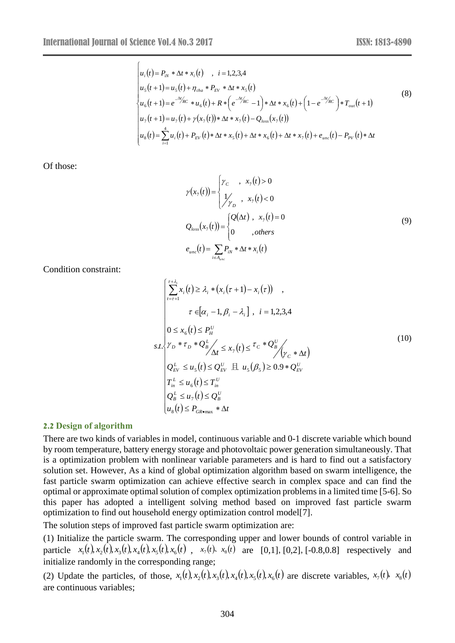$\sqrt{ }$ 

$$
\begin{vmatrix} u_i(t) = P_{iN} * \Delta t * x_i(t) , i = 1,2,3,4 \\ u_5(t+1) = u_5(t) + \eta_{cha} * P_{EV} * \Delta t * x_5(t) \\ u_6(t+1) = e^{-\Delta t}/c * u_6(t) + R * (e^{-\Delta t}/c - 1) * \Delta t * x_6(t) + (1 - e^{-\Delta t}/c) * T_{out}(t+1) \\ u_7(t+1) = u_7(t) + \gamma(x_7(t)) * \Delta t * x_7(t) - Q_{loss}(x_7(t)) \\ u_8(t) = \sum_{i=1}^4 u_i(t) + P_{EV}(t) * \Delta t * x_5(t) + \Delta t * x_6(t) + \Delta t * x_7(t) + e_{unc}(t) - P_{PV}(t) * \Delta t \end{vmatrix}
$$
(8)

Of those:

$$
\gamma(x_{7}(t)) = \begin{cases}\n\gamma_{C} & , x_{7}(t) > 0 \\
\frac{1}{\gamma_{D}} & , x_{7}(t) < 0\n\end{cases}
$$
\n
$$
Q_{loss}(x_{7}(t)) = \begin{cases}\nQ(\Delta t) & , x_{7}(t) = 0 \\
0 & , others\n\end{cases}
$$
\n
$$
e_{unc}(t) = \sum_{i \in A_{unc}} P_{iN} * \Delta t * x_{i}(t)
$$
\n(9)

Condition constraint:

$$
\begin{cases}\n\sum_{r=\tau+1}^{\tau+\lambda_i} x_i(t) \ge \lambda_i * (x_i(\tau+1) - x_i(\tau)) ,\\
\tau \in [\alpha_i - 1, \beta_i - \lambda_i] , i = 1,2,3,4\n\end{cases}
$$
\n
$$
s.t. \begin{cases}\n\gamma_D * \tau_D * Q_E^L \\
\gamma_D * \tau_D * Q_E^L \\
\Delta t \le x_1(t) \le \tau_C * Q_E^U \\
\Delta t \le x_2(t) \le \tau_C * Q_E^L \\
\gamma_C * \Delta t\n\end{cases}
$$
\n
$$
(10)
$$
\n
$$
Q_{EV}^L \le u_s(t) \le Q_{EV}^U \boxplus u_s(\beta_s) \ge 0.9 * Q_{EV}^U
$$
\n
$$
T_{in}^L \le u_s(t) \le T_{in}^U
$$
\n
$$
Q_B^L \le u_1(t) \le Q_B^U
$$
\n
$$
u_s(t) \le P_{GR\text{-max}} * \Delta t
$$
\n(10)

#### **2.2 Design of algorithm**

There are two kinds of variables in model, continuous variable and 0-1 discrete variable which bound by room temperature, battery energy storage and photovoltaic power generation simultaneously. That is a optimization problem with nonlinear variable parameters and is hard to find out a satisfactory solution set. However, As a kind of global optimization algorithm based on swarm intelligence, the fast particle swarm optimization can achieve effective search in complex space and can find the optimal or approximate optimal solution of complex optimization problems in a limited time [5-6]. So this paper has adopted a intelligent solving method based on improved fast particle swarm optimization to find out household energy optimization control model[7].

The solution steps of improved fast particle swarm optimization are:

(1) Initialize the particle swarm. The corresponding upper and lower bounds of control variable in particle  $x_1(t), x_2(t), x_3(t), x_4(t), x_5(t), x_6(t)$ ,  $x_7(t), x_8(t)$  are [0,1], [0,2], [-0.8,0.8] respectively and initialize randomly in the corresponding range;

(2) Update the particles, of those,  $x_1(t), x_2(t), x_3(t), x_4(t), x_5(t), x_6(t)$  are discrete variables,  $x_7(t), x_8(t)$ are continuous variables;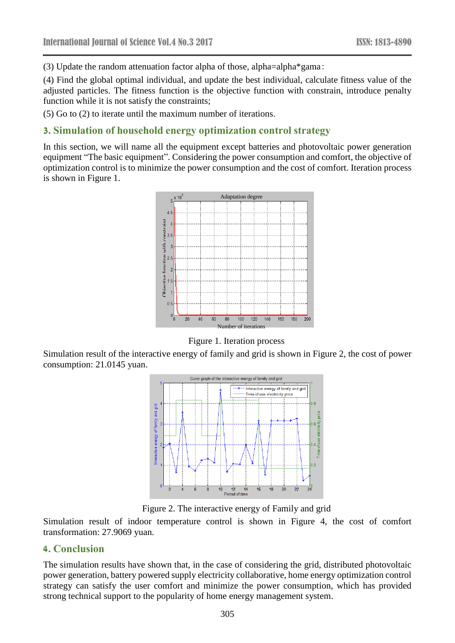(3) Update the random attenuation factor alpha of those, alpha=alpha\*gama:

(4) Find the global optimal individual, and update the best individual, calculate fitness value of the adjusted particles. The fitness function is the objective function with constrain, introduce penalty function while it is not satisfy the constraints;

(5) Go to (2) to iterate until the maximum number of iterations.

# **3. Simulation of household energy optimization control strategy**

In this section, we will name all the equipment except batteries and photovoltaic power generation equipment "The basic equipment". Considering the power consumption and comfort, the objective of optimization control is to minimize the power consumption and the cost of comfort. Iteration process is shown in Figure 1.



Figure 1. Iteration process

Simulation result of the interactive energy of family and grid is shown in Figure 2, the cost of power consumption: 21.0145 yuan.



Figure 2. The interactive energy of Family and grid

Simulation result of indoor temperature control is shown in Figure 4, the cost of comfort transformation: 27.9069 yuan.

# **4. Conclusion**

The simulation results have shown that, in the case of considering the grid, distributed photovoltaic power generation, battery powered supply electricity collaborative, home energy optimization control strategy can satisfy the user comfort and minimize the power consumption, which has provided strong technical support to the popularity of home energy management system.